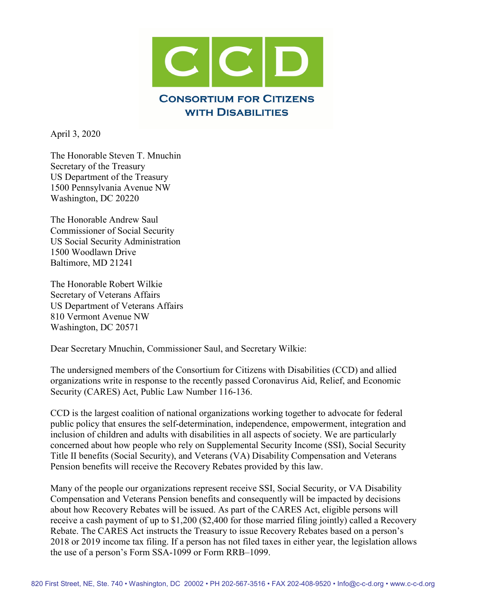

April 3, 2020

The Honorable Steven T. Mnuchin Secretary of the Treasury US Department of the Treasury 1500 Pennsylvania Avenue NW Washington, DC 20220

The Honorable Andrew Saul Commissioner of Social Security US Social Security Administration 1500 Woodlawn Drive Baltimore, MD 21241

The Honorable Robert Wilkie Secretary of Veterans Affairs US Department of Veterans Affairs 810 Vermont Avenue NW Washington, DC 20571

Dear Secretary Mnuchin, Commissioner Saul, and Secretary Wilkie:

The undersigned members of the Consortium for Citizens with Disabilities (CCD) and allied organizations write in response to the recently passed Coronavirus Aid, Relief, and Economic Security (CARES) Act, Public Law Number 116-136.

CCD is the largest coalition of national organizations working together to advocate for federal public policy that ensures the self-determination, independence, empowerment, integration and inclusion of children and adults with disabilities in all aspects of society. We are particularly concerned about how people who rely on Supplemental Security Income (SSI), Social Security Title II benefits (Social Security), and Veterans (VA) Disability Compensation and Veterans Pension benefits will receive the Recovery Rebates provided by this law.

Many of the people our organizations represent receive SSI, Social Security, or VA Disability Compensation and Veterans Pension benefits and consequently will be impacted by decisions about how Recovery Rebates will be issued. As part of the CARES Act, eligible persons will receive a cash payment of up to \$1,200 (\$2,400 for those married filing jointly) called a Recovery Rebate. The CARES Act instructs the Treasury to issue Recovery Rebates based on a person's 2018 or 2019 income tax filing. If a person has not filed taxes in either year, the legislation allows the use of a person's Form SSA-1099 or Form RRB–1099.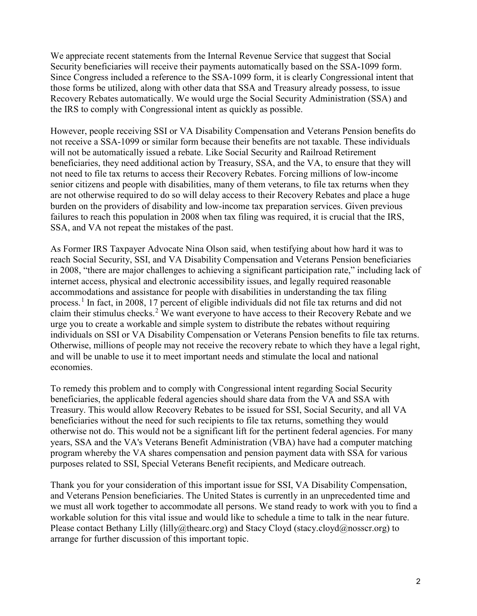We appreciate recent statements from the Internal Revenue Service that suggest that Social Security beneficiaries will receive their payments automatically based on the SSA-1099 form. Since Congress included a reference to the SSA-1099 form, it is clearly Congressional intent that those forms be utilized, along with other data that SSA and Treasury already possess, to issue Recovery Rebates automatically. We would urge the Social Security Administration (SSA) and the IRS to comply with Congressional intent as quickly as possible.

However, people receiving SSI or VA Disability Compensation and Veterans Pension benefits do not receive a SSA-1099 or similar form because their benefits are not taxable. These individuals will not be automatically issued a rebate. Like Social Security and Railroad Retirement beneficiaries, they need additional action by Treasury, SSA, and the VA, to ensure that they will not need to file tax returns to access their Recovery Rebates. Forcing millions of low-income senior citizens and people with disabilities, many of them veterans, to file tax returns when they are not otherwise required to do so will delay access to their Recovery Rebates and place a huge burden on the providers of disability and low-income tax preparation services. Given previous failures to reach this population in 2008 when tax filing was required, it is crucial that the IRS, SSA, and VA not repeat the mistakes of the past.

As Former IRS Taxpayer Advocate Nina Olson said, when testifying about how hard it was to reach Social Security, SSI, and VA Disability Compensation and Veterans Pension beneficiaries in 2008, "there are major challenges to achieving a significant participation rate," including lack of internet access, physical and electronic accessibility issues, and legally required reasonable accommodations and assistance for people with disabilities in understanding the tax filing process.[1](#page-5-0) In fact, in 2008, 17 percent of eligible individuals did not file tax returns and did not claim their stimulus checks.<sup>[2](#page-5-1)</sup> We want everyone to have access to their Recovery Rebate and we urge you to create a workable and simple system to distribute the rebates without requiring individuals on SSI or VA Disability Compensation or Veterans Pension benefits to file tax returns. Otherwise, millions of people may not receive the recovery rebate to which they have a legal right, and will be unable to use it to meet important needs and stimulate the local and national economies.

To remedy this problem and to comply with Congressional intent regarding Social Security beneficiaries, the applicable federal agencies should share data from the VA and SSA with Treasury. This would allow Recovery Rebates to be issued for SSI, Social Security, and all VA beneficiaries without the need for such recipients to file tax returns, something they would otherwise not do. This would not be a significant lift for the pertinent federal agencies. For many years, SSA and the VA's Veterans Benefit Administration (VBA) have had a computer matching program whereby the VA shares compensation and pension payment data with SSA for various purposes related to SSI, Special Veterans Benefit recipients, and Medicare outreach.

Thank you for your consideration of this important issue for SSI, VA Disability Compensation, and Veterans Pension beneficiaries. The United States is currently in an unprecedented time and we must all work together to accommodate all persons. We stand ready to work with you to find a workable solution for this vital issue and would like to schedule a time to talk in the near future. Please contact Bethany Lilly (lilly@thearc.org) and Stacy Cloyd (stacy.cloyd@nosscr.org) to arrange for further discussion of this important topic.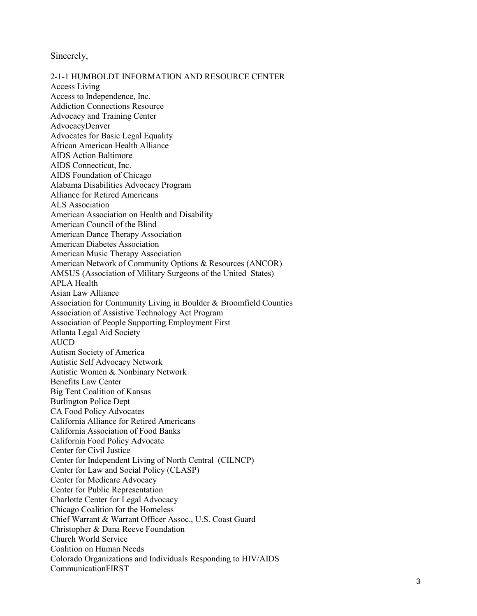Sincerely,

2-1-1 HUMBOLDT INFORMATION AND RESOURCE CENTER Access Living Access to Independence, Inc. Addiction Connections Resource Advocacy and Training Center AdvocacyDenver Advocates for Basic Legal Equality African American Health Alliance AIDS Action Baltimore AIDS Connecticut, Inc. AIDS Foundation of Chicago Alabama Disabilities Advocacy Program Alliance for Retired Americans ALS Association American Association on Health and Disability American Council of the Blind American Dance Therapy Association American Diabetes Association American Music Therapy Association American Network of Community Options & Resources (ANCOR) AMSUS (Association of Military Surgeons of the United States) APLA Health Asian Law Alliance Association for Community Living in Boulder & Broomfield Counties Association of Assistive Technology Act Program Association of People Supporting Employment First Atlanta Legal Aid Society AUCD Autism Society of America Autistic Self Advocacy Network Autistic Women & Nonbinary Network Benefits Law Center Big Tent Coalition of Kansas Burlington Police Dept CA Food Policy Advocates California Alliance for Retired Americans California Association of Food Banks California Food Policy Advocate Center for Civil Justice Center for Independent Living of North Central (CILNCP) Center for Law and Social Policy (CLASP) Center for Medicare Advocacy Center for Public Representation Charlotte Center for Legal Advocacy Chicago Coalition for the Homeless Chief Warrant & Warrant Officer Assoc., U.S. Coast Guard Christopher & Dana Reeve Foundation Church World Service Coalition on Human Needs Colorado Organizations and Individuals Responding to HIV/AIDS CommunicationFIRST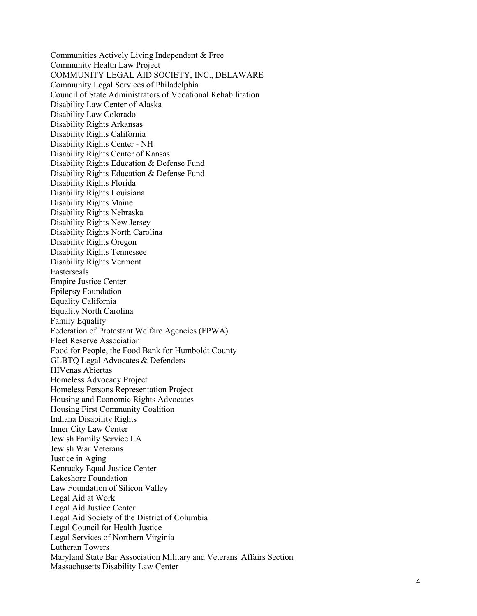Communities Actively Living Independent & Free Community Health Law Project COMMUNITY LEGAL AID SOCIETY, INC., DELAWARE Community Legal Services of Philadelphia Council of State Administrators of Vocational Rehabilitation Disability Law Center of Alaska Disability Law Colorado Disability Rights Arkansas Disability Rights California Disability Rights Center - NH Disability Rights Center of Kansas Disability Rights Education & Defense Fund Disability Rights Education & Defense Fund Disability Rights Florida Disability Rights Louisiana Disability Rights Maine Disability Rights Nebraska Disability Rights New Jersey Disability Rights North Carolina Disability Rights Oregon Disability Rights Tennessee Disability Rights Vermont Easterseals Empire Justice Center Epilepsy Foundation Equality California Equality North Carolina Family Equality Federation of Protestant Welfare Agencies (FPWA) Fleet Reserve Association Food for People, the Food Bank for Humboldt County GLBTQ Legal Advocates & Defenders HIVenas Abiertas Homeless Advocacy Project Homeless Persons Representation Project Housing and Economic Rights Advocates Housing First Community Coalition Indiana Disability Rights Inner City Law Center Jewish Family Service LA Jewish War Veterans Justice in Aging Kentucky Equal Justice Center Lakeshore Foundation Law Foundation of Silicon Valley Legal Aid at Work Legal Aid Justice Center Legal Aid Society of the District of Columbia Legal Council for Health Justice Legal Services of Northern Virginia Lutheran Towers Maryland State Bar Association Military and Veterans' Affairs Section Massachusetts Disability Law Center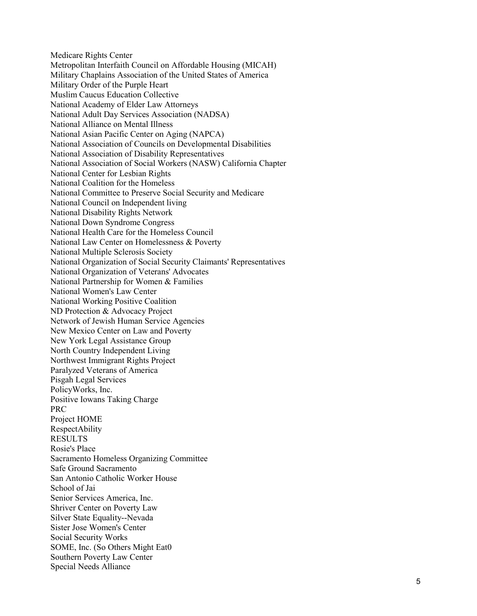Medicare Rights Center Metropolitan Interfaith Council on Affordable Housing (MICAH) Military Chaplains Association of the United States of America Military Order of the Purple Heart Muslim Caucus Education Collective National Academy of Elder Law Attorneys National Adult Day Services Association (NADSA) National Alliance on Mental Illness National Asian Pacific Center on Aging (NAPCA) National Association of Councils on Developmental Disabilities National Association of Disability Representatives National Association of Social Workers (NASW) California Chapter National Center for Lesbian Rights National Coalition for the Homeless National Committee to Preserve Social Security and Medicare National Council on Independent living National Disability Rights Network National Down Syndrome Congress National Health Care for the Homeless Council National Law Center on Homelessness & Poverty National Multiple Sclerosis Society National Organization of Social Security Claimants' Representatives National Organization of Veterans' Advocates National Partnership for Women & Families National Women's Law Center National Working Positive Coalition ND Protection & Advocacy Project Network of Jewish Human Service Agencies New Mexico Center on Law and Poverty New York Legal Assistance Group North Country Independent Living Northwest Immigrant Rights Project Paralyzed Veterans of America Pisgah Legal Services PolicyWorks, Inc. Positive Iowans Taking Charge PRC Project HOME RespectAbility RESULTS Rosie's Place Sacramento Homeless Organizing Committee Safe Ground Sacramento San Antonio Catholic Worker House School of Jai Senior Services America, Inc . Shriver Center on Poverty Law Silver State Equality--Nevada Sister Jose Women's Center Social Security Works SOME, Inc. (So Others Might Eat0 Southern Poverty Law Center Special Needs Alliance